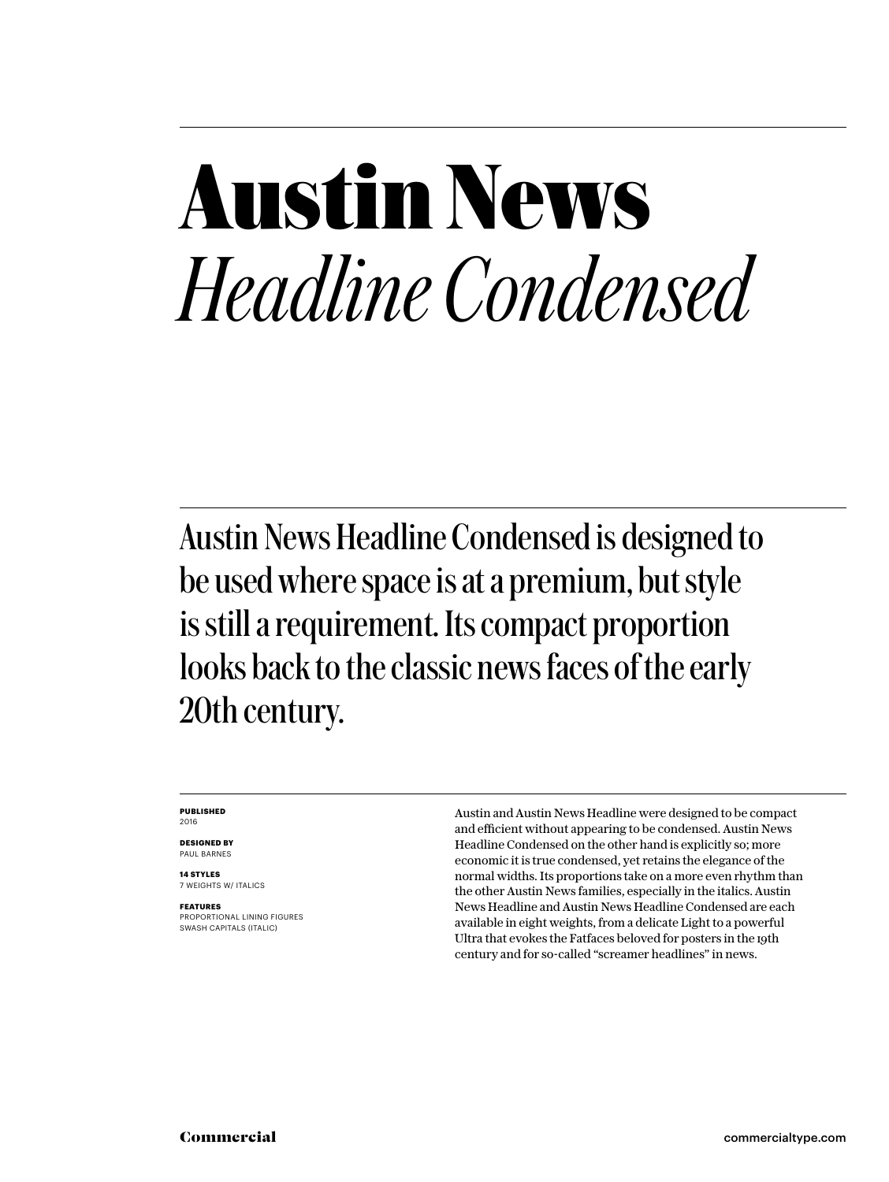### **Austin News** *Headline Condensed*

Austin News Headline Condensed is designed to be used where space is at a premium, but style is still a requirement. Its compact proportion looks back to the classic news faces of the early 20th century.

#### **PUBLISHED** 2016

**DESIGNED BY** PAUL BARNES

**14 STYLES** 7 WEIGHTS W/ ITALICS

**FEATURES** PROPORTIONAL LINING FIGURES SWASH CAPITALS (ITALIC)

Austin and Austin News Headline were designed to be compact and efficient without appearing to be condensed. Austin News Headline Condensed on the other hand is explicitly so; more economic it is true condensed, yet retains the elegance of the normal widths. Its proportions take on a more even rhythm than the other Austin News families, especially in the italics. Austin News Headline and Austin News Headline Condensed are each available in eight weights, from a delicate Light to a powerful Ultra that evokes the Fatfaces beloved for posters in the 19th century and for so-called "screamer headlines" in news.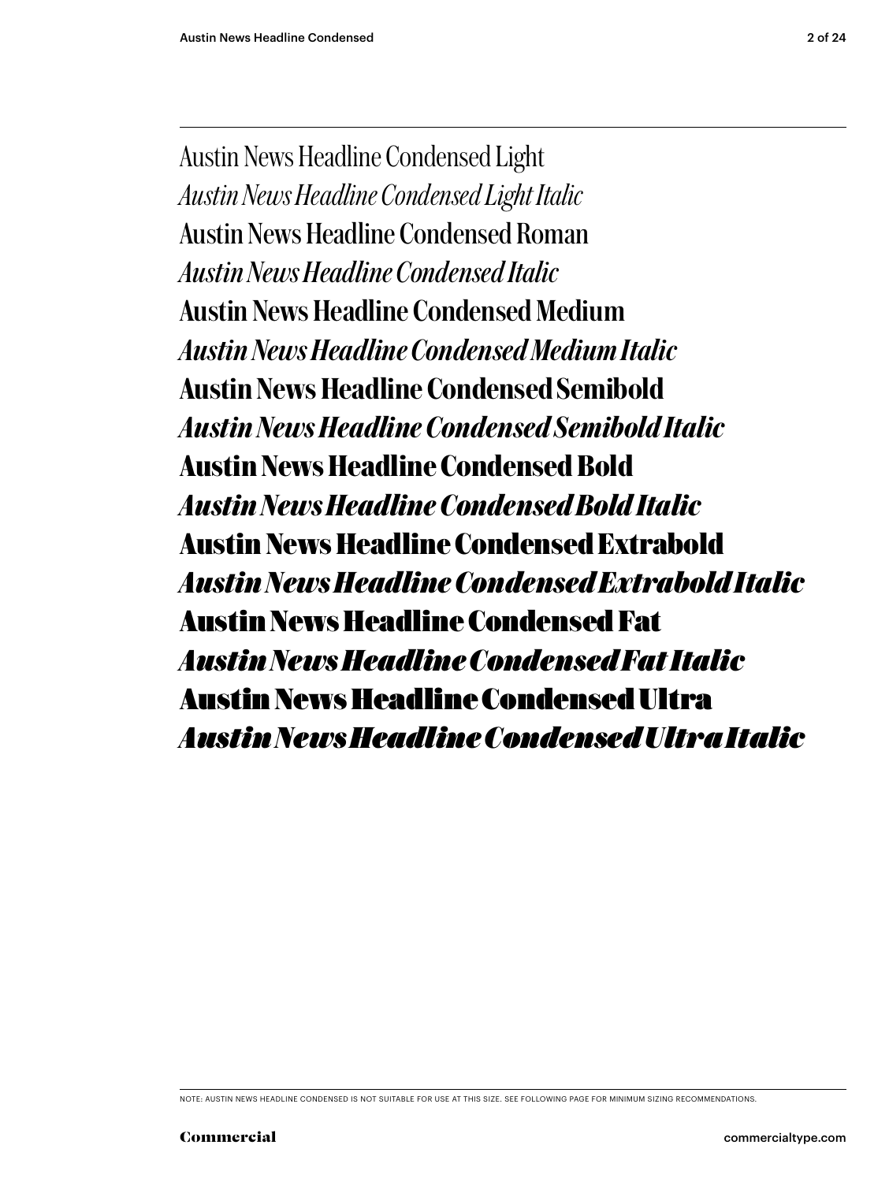Austin News Headline Condensed Light *Austin News Headline Condensed Light Italic* Austin News Headline Condensed Roman *Austin News Headline Condensed Italic* Austin News Headline Condensed Medium *Austin News Headline Condensed Medium Italic* Austin News Headline Condensed Semibold *Austin News Headline Condensed Semibold Italic* **Austin News Headline Condensed Bold** *Austin News Headline Condensed Bold Italic* **Austin News Headline Condensed Extrabold** *Austin News Headline Condensed Extrabold Italic* Austin News Headline Condensed Fat *Austin News Headline Condensed Fat Italic* Austin News Headline Condensed Ultra *Austin News Headline Condensed Ultra Italic*

NOTE: AUSTIN NEWS HEADLINE CONDENSED IS NOT SUITABLE FOR USE AT THIS SIZE. SEE FOLLOWING PAGE FOR MINIMUM SIZING RECOMMENDATIONS.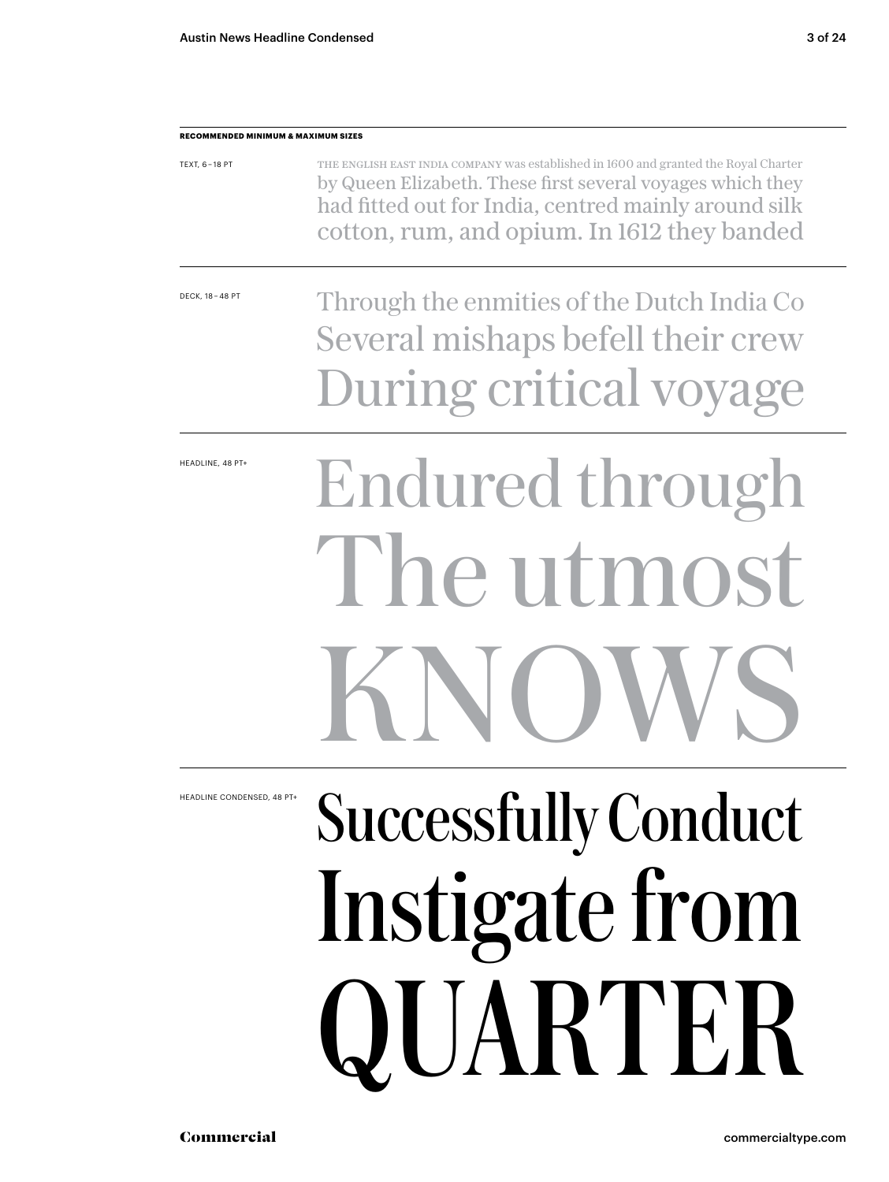| RECOMMENDED MINIMUM & MAXIMUM SIZES |                                                                                                                                                                                                                                                           |
|-------------------------------------|-----------------------------------------------------------------------------------------------------------------------------------------------------------------------------------------------------------------------------------------------------------|
| TEXT, 6-18 PT                       | THE ENGLISH EAST INDIA COMPANY was established in 1600 and granted the Royal Charter<br>by Queen Elizabeth. These first several voyages which they<br>had fitted out for India, centred mainly around silk<br>cotton, rum, and opium. In 1612 they banded |
| DECK, 18 - 48 PT                    | Through the enmities of the Dutch India Co<br>Several mishaps befell their crew                                                                                                                                                                           |
|                                     | During critical voyage                                                                                                                                                                                                                                    |
| HEADLINE, 48 PT+                    | Endured through                                                                                                                                                                                                                                           |
|                                     | The utmost                                                                                                                                                                                                                                                |
|                                     | <b>KNOV</b><br>VN                                                                                                                                                                                                                                         |
| HEADLINE CONDENSED, 48 PT+          | <b>Successfully Conduct</b>                                                                                                                                                                                                                               |
|                                     | Instigate from                                                                                                                                                                                                                                            |
|                                     | QUARTER                                                                                                                                                                                                                                                   |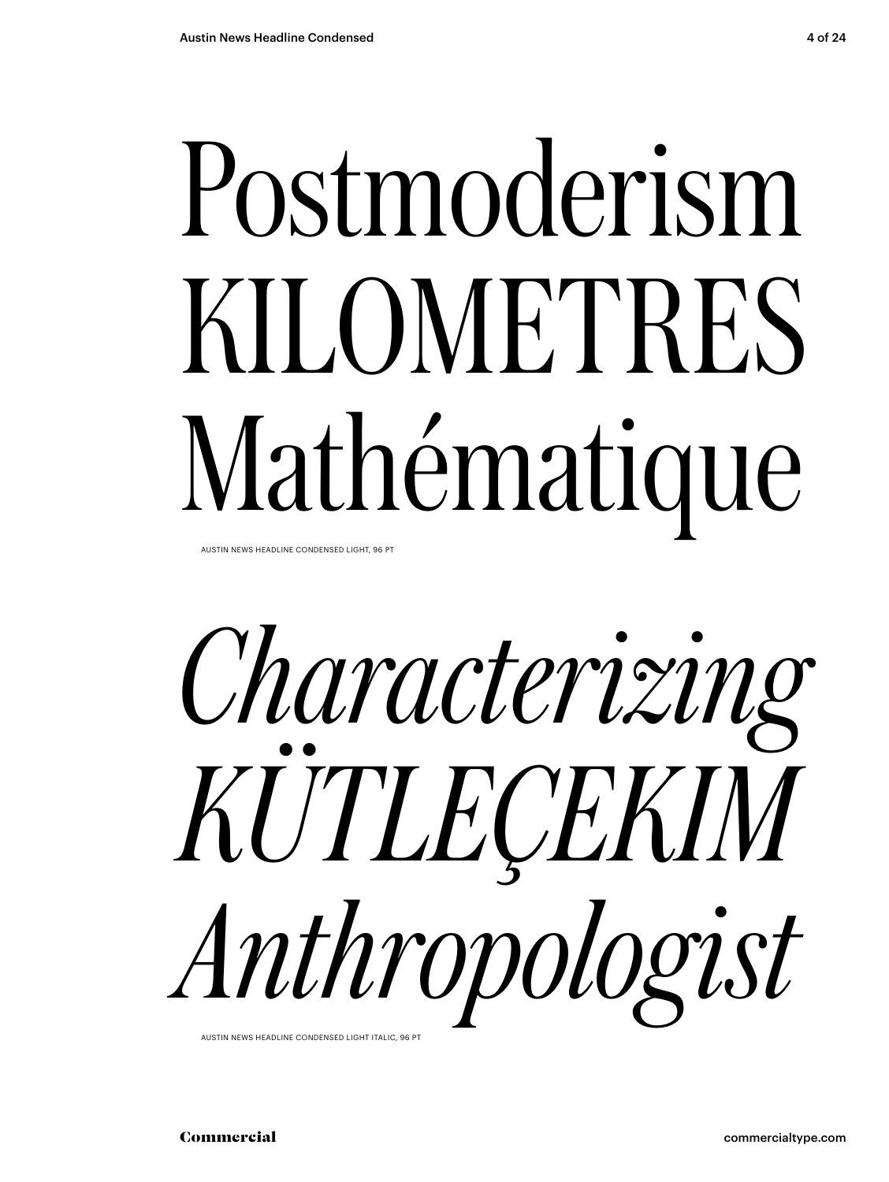# Postmoderism KILOMETRES Mathématique

AUSTIN NEWS HEADLINE CONDENSED LIGHT, 96 PT



AUSTIN NEWS HEADLINE CONDENSED LIGHT ITALIC, 96 PT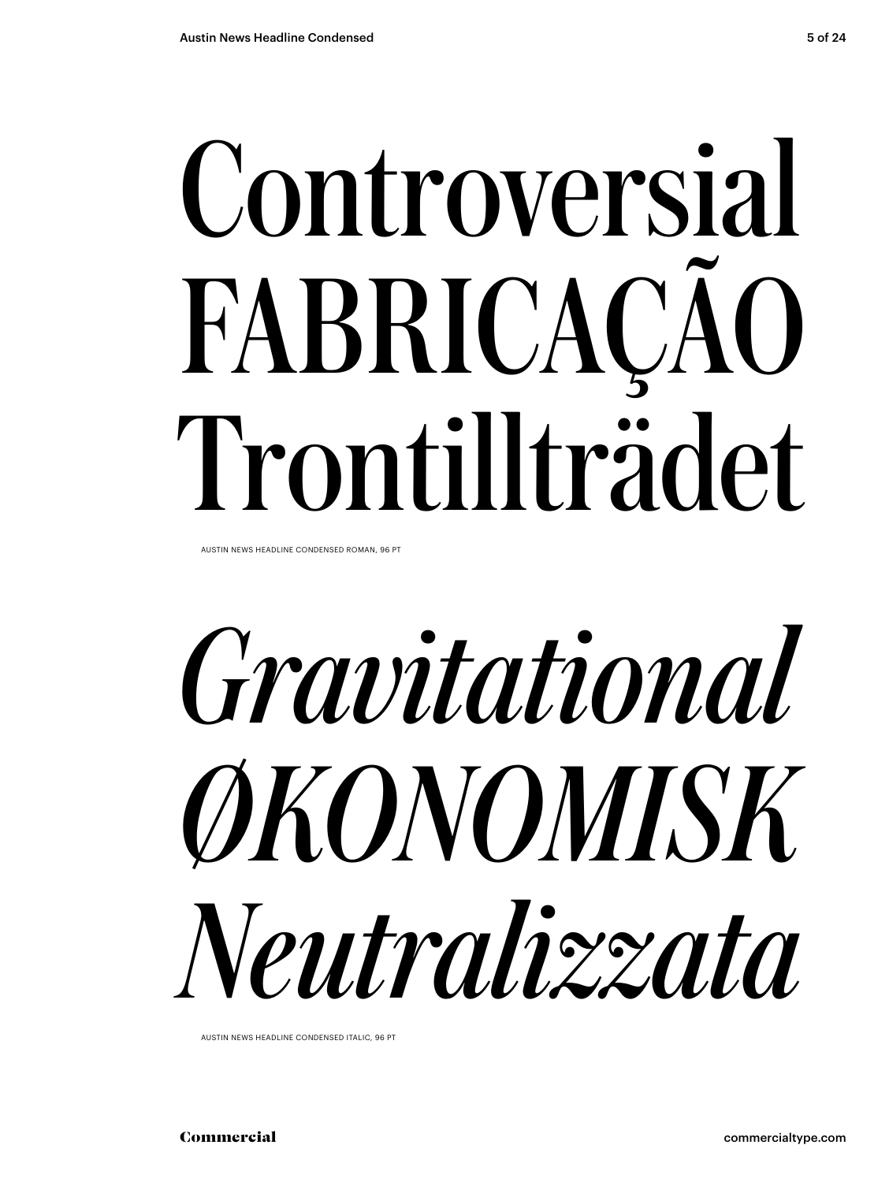# Controversial FABRICAÇÃO Trontillträdet

AUSTIN NEWS HEADLINE CONDENSED ROMAN, 96 PT

*Gravitational ØKONOMISK Neutralizzata*

AUSTIN NEWS HEADLINE CONDENSED ITALIC, 96 PT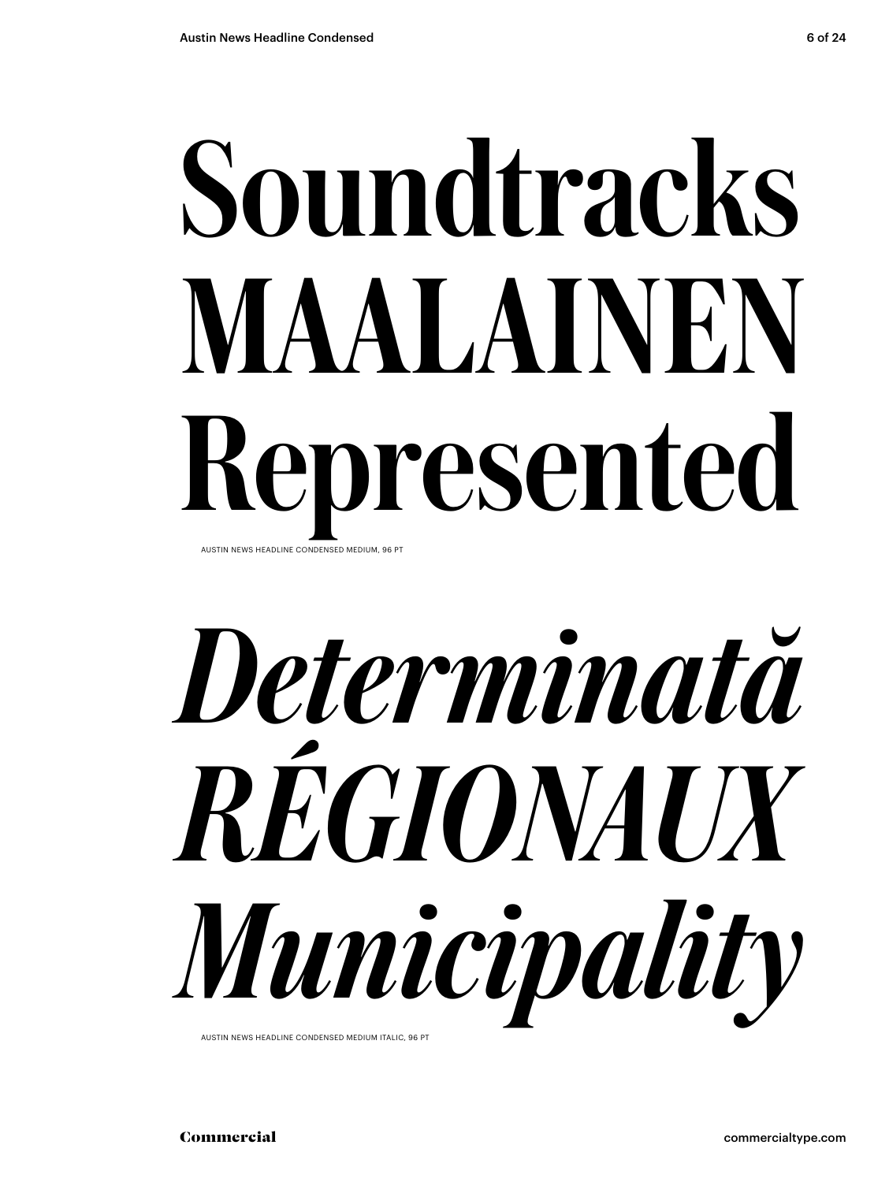## Soundtracks MAALAINEN Represented AUSTIN NEWS HEADLINE CONDENSED MEDIUM, 96 PT



AUSTIN NEWS HEADLINE CONDENSED MEDIUM ITALIC, 96 PT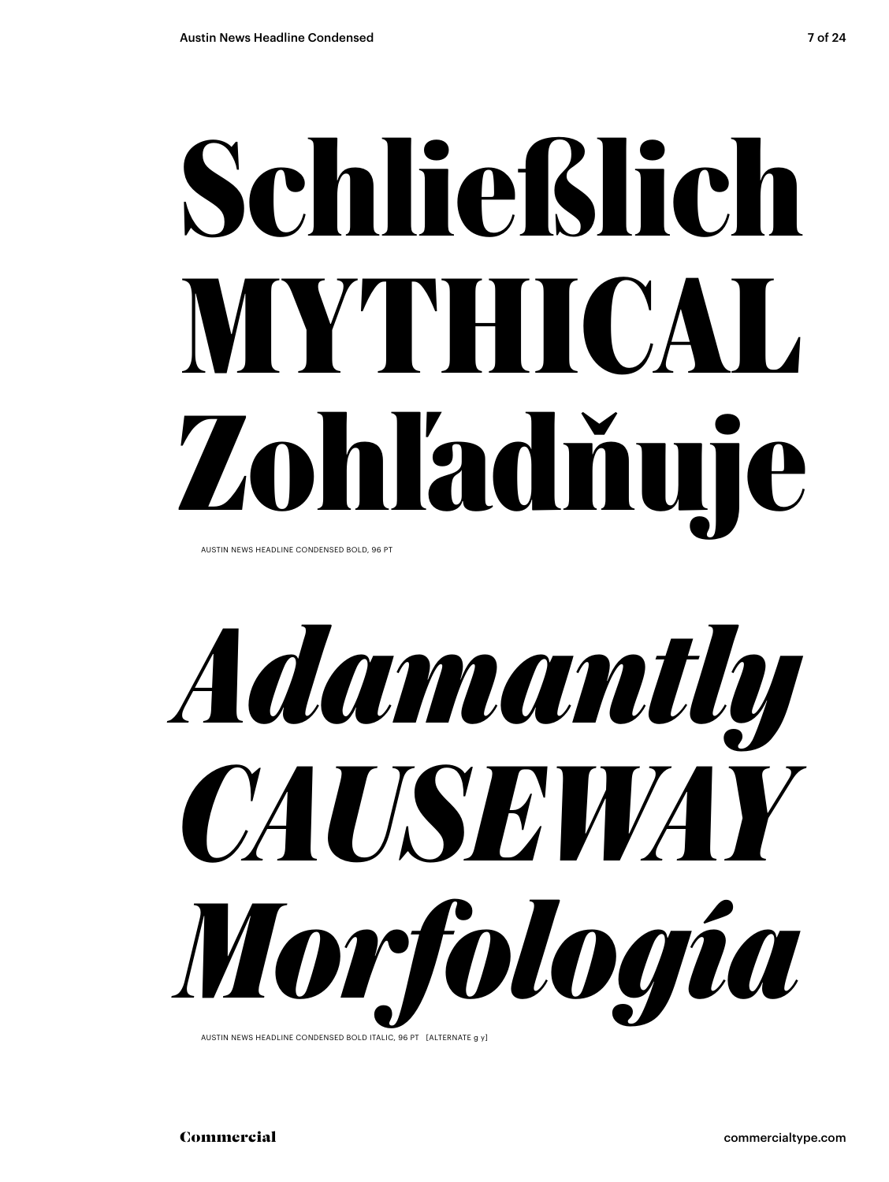# **Schließlich MYTHICAL Zohľadňuje**

AUSTIN NEWS HEADLINE CONDENSED BOLD, 96 PT



AUSTIN NEWS HEADLINE CONDENSED BOLD ITALIC, 96 PT [ALTERNATE g y]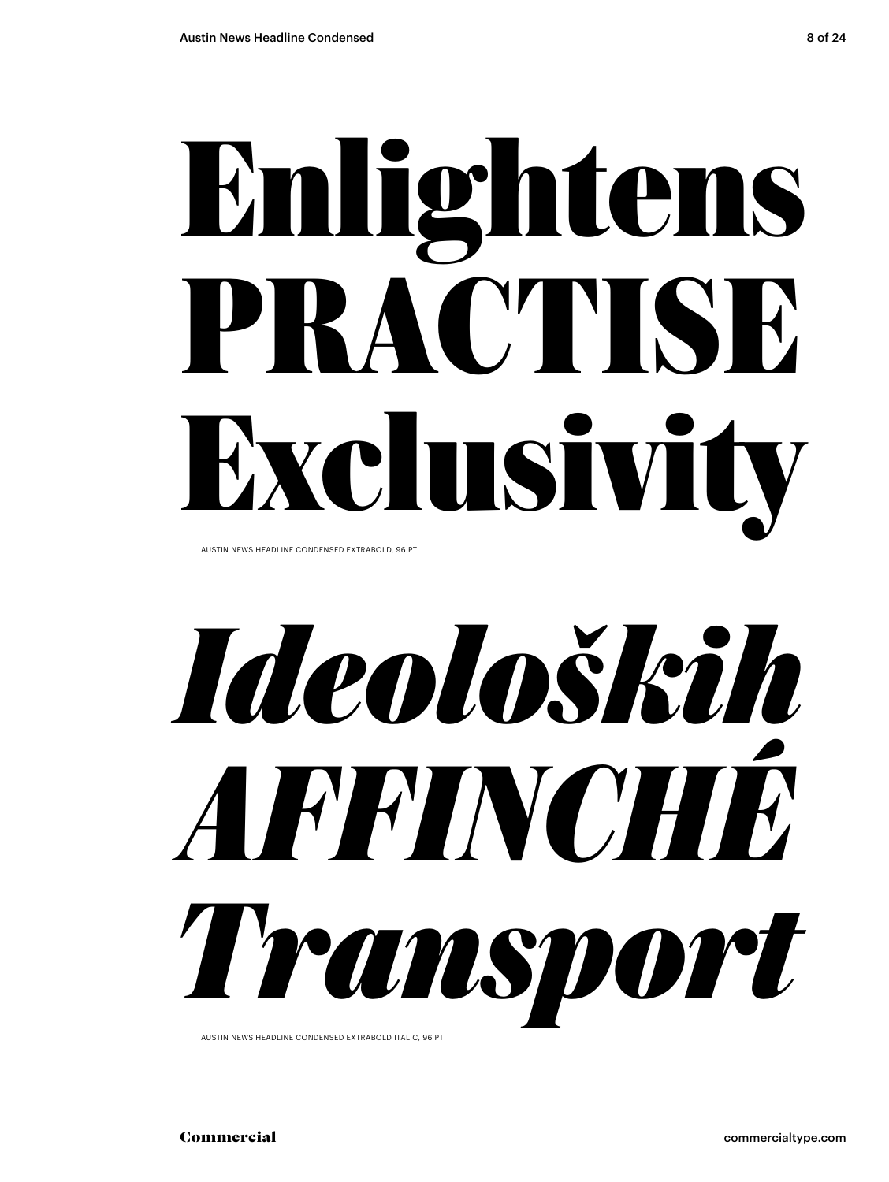# **Enlightens PRACTISE Exclusivity**

AUSTIN NEWS HEADLINE CONDENSED EXTRABOLD, 96 PT

*Ideoloških AFFINCHÉ Transport*

AUSTIN NEWS HEADLINE CONDENSED EXTRABOLD ITALIC, 96 PT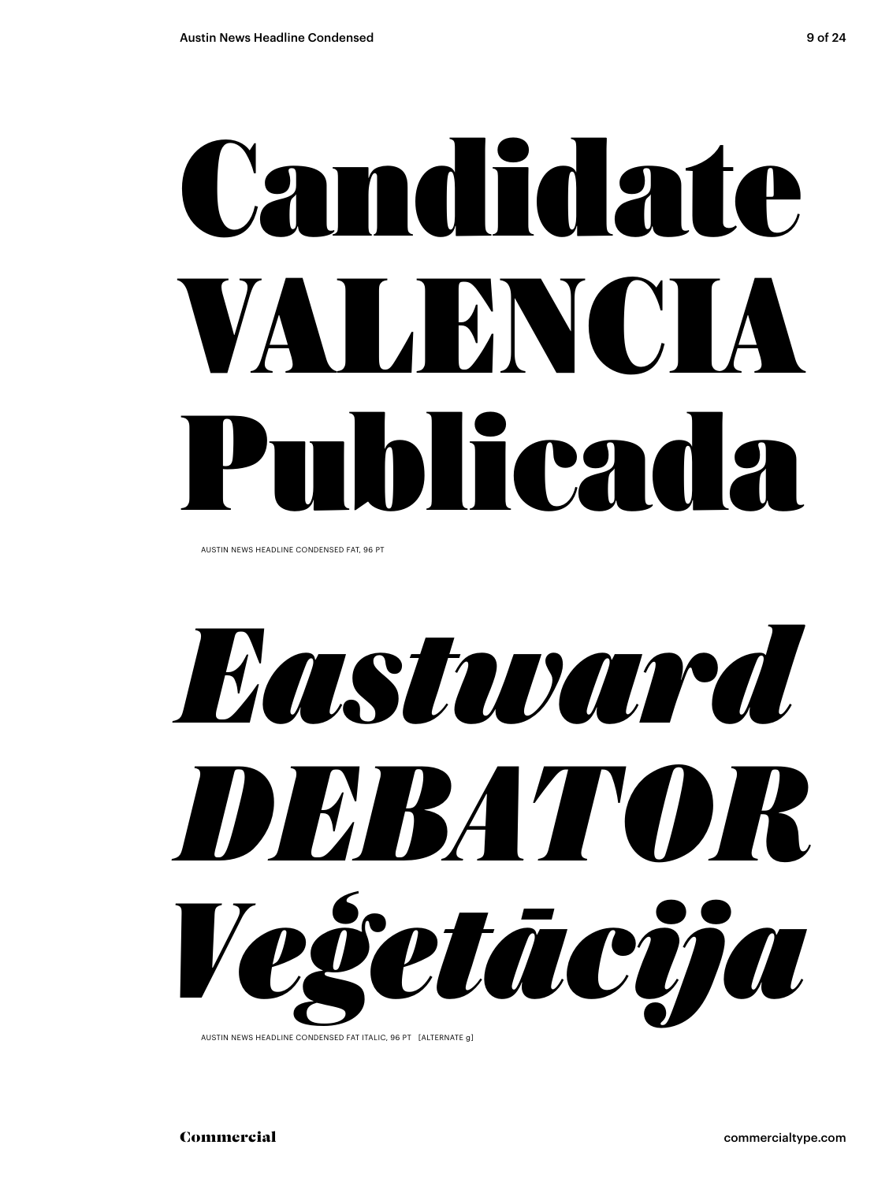# Candidate VALENCIA Publicada

AUSTIN NEWS HEADLINE CONDENSED FAT, 96 PT

*Eastward DEBATOR Veģetācija*

AUSTIN NEWS HEADLINE CONDENSED FAT ITALIC, 96 PT [ALTERNATE g]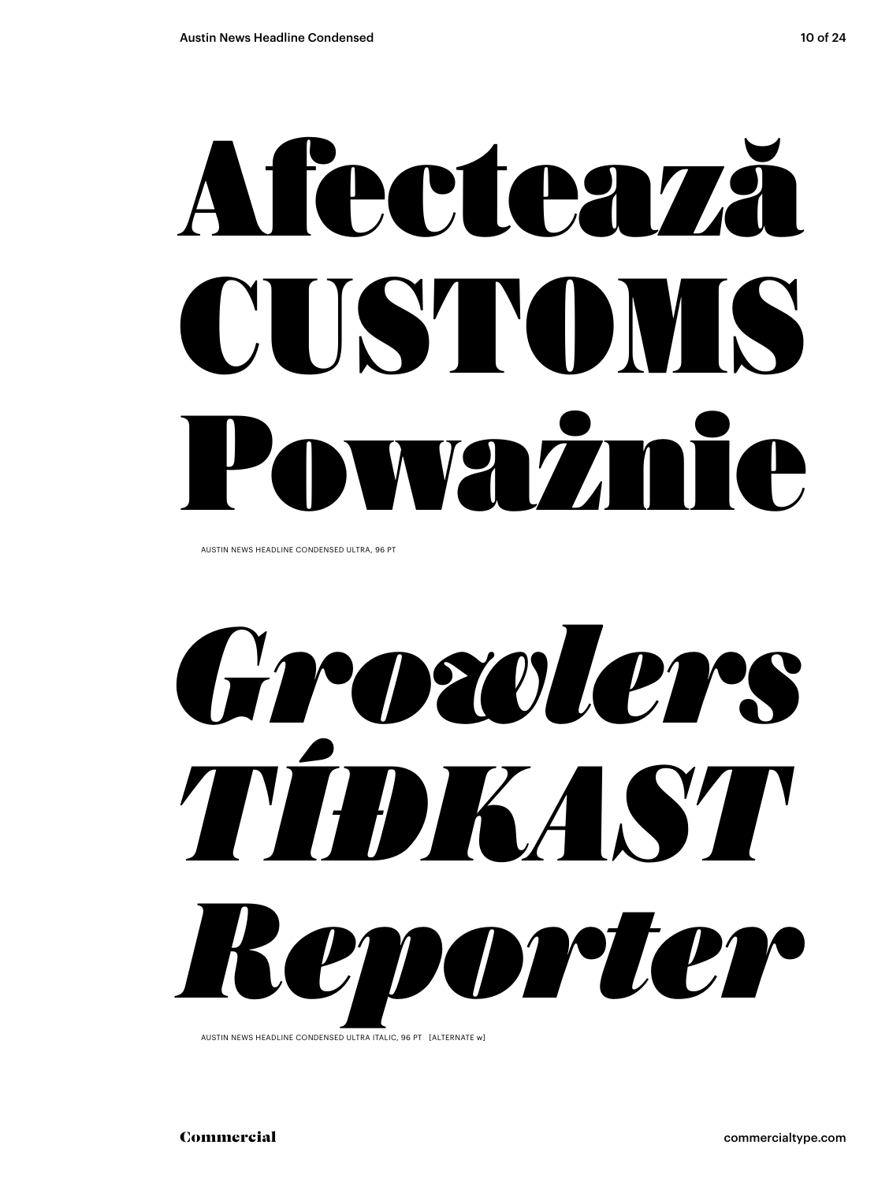# Afectează CUSTOMS Poważnie

AUSTIN NEWS HEADLINE CONDENSED ULTRA, 96 PT

*Growlers TÍÐKAST Reporter*

AUSTIN NEWS HEADLINE CONDENSED ULTRA ITALIC, 96 PT [ALTERNATE w]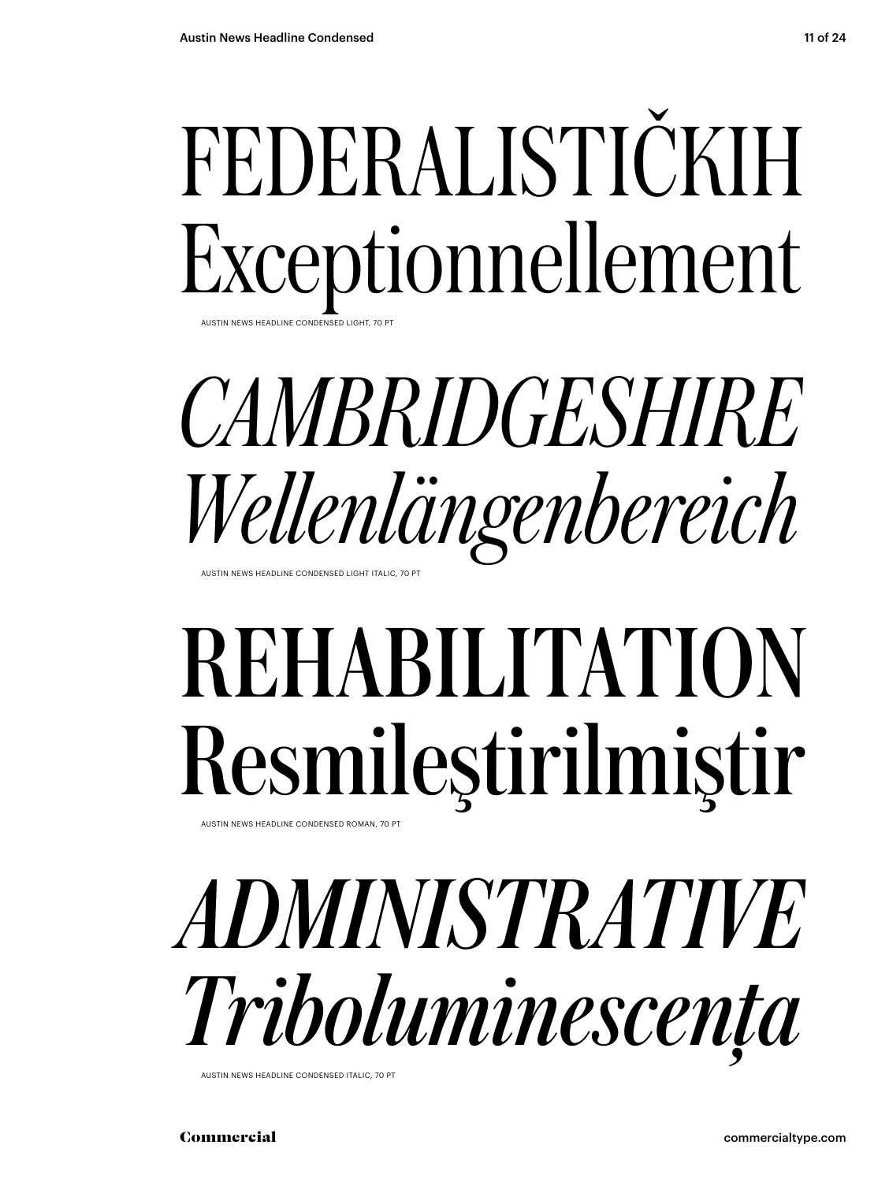## FEDERALISTIČKIH Exceptionnellement

AUSTIN NEWS HEADLINE CONDENSED LIGHT, 70 P

#### *CAMBRIDGESHIRE Wellenlängenbereich* AUSTIN NEWS HEADLINE CONDENSED LIGHT ITALIC, 70 P

## REHABILITATION Resmileştirilmiştir

AUSTIN NEWS HEADLINE CONDENSED ROMAN, 70 P



AUSTIN NEWS HEADLINE CONDENSED ITALIC, 70 PT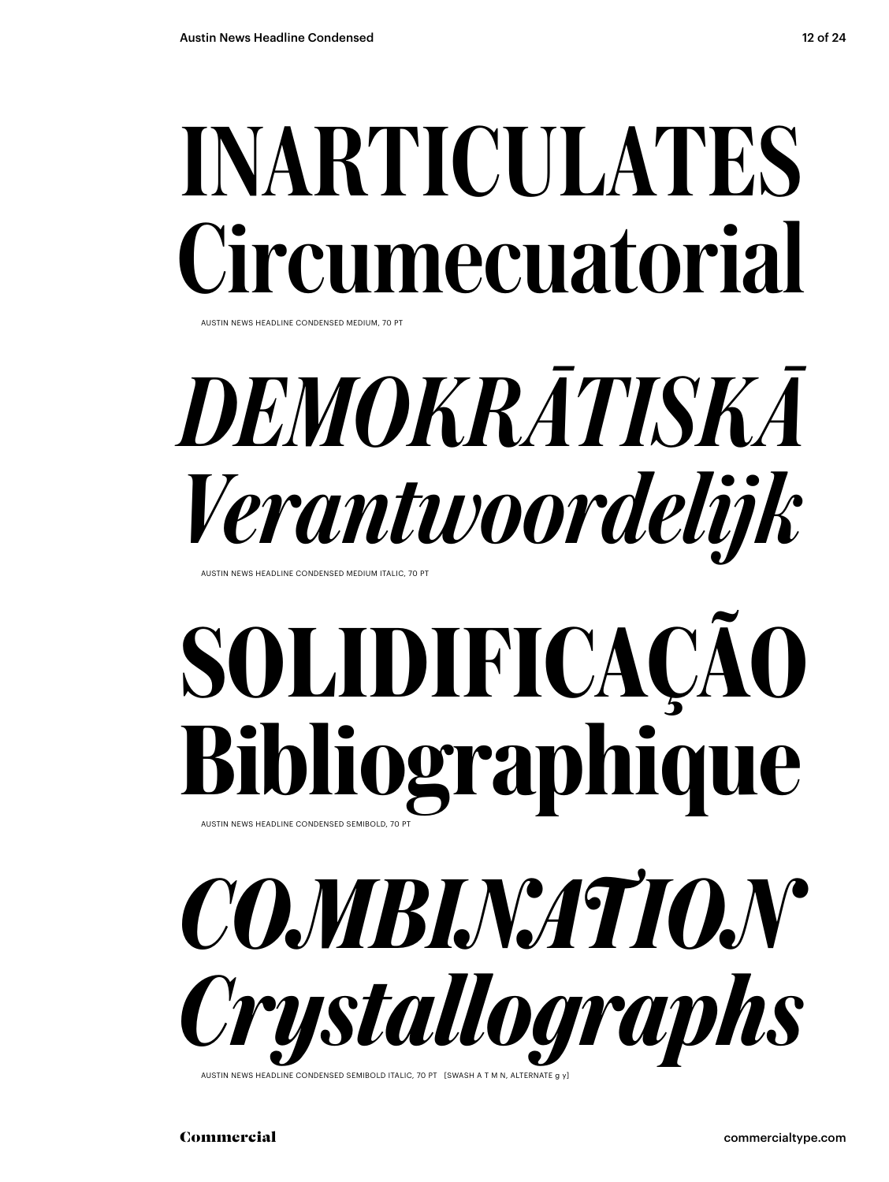## INARTICULATES Circumecuatorial

AUSTIN NEWS HEADLINE CONDENSED MEDIUM, 70 PT

## *DEMOKRĀTISKĀ Verantwoordelijk*

AUSTIN NEWS HEADLINE CONDENSED MEDIUM ITALIC, 70 PT

### SOLIDIFICAÇÃO Bibliographique AUSTIN NEWS HEADLINE CONDENSED SEMIBOLD, 70 PT

*COMBINATION Crystallographs*

AUSTIN NEWS HEADLINE CONDENSED SEMIBOLD ITALIC, 70 PT [SWASH A T M N, ALTERNATE of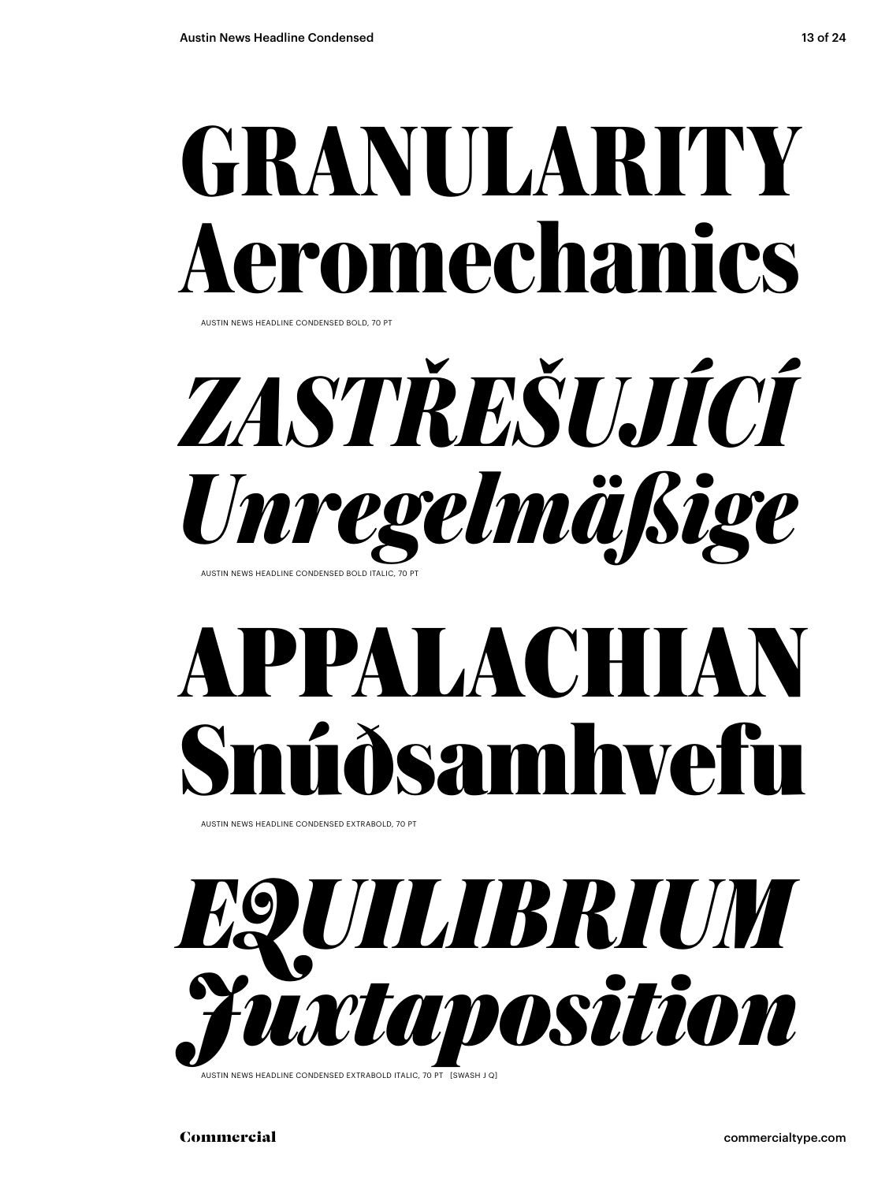### **GRANULARITY** romechanics

AUSTIN NEWS HEADLINE CONDENSED BOLD, 70 PT

*ZASTŘEŠUJÍCÍ Unregelmäßige* AUSTIN NEWS HEADLINE CONDENSED BOLD ITALIC, 70 PT

### **APPALACHIAN Snúðsamhvefu**

AUSTIN NEWS HEADLINE CONDENSED EXTRABOLD, 70 PT



AUSTIN NEWS HEADLINE CONDENSED EXTRABOLD ITALIC, 70 PT [SWASH J Q]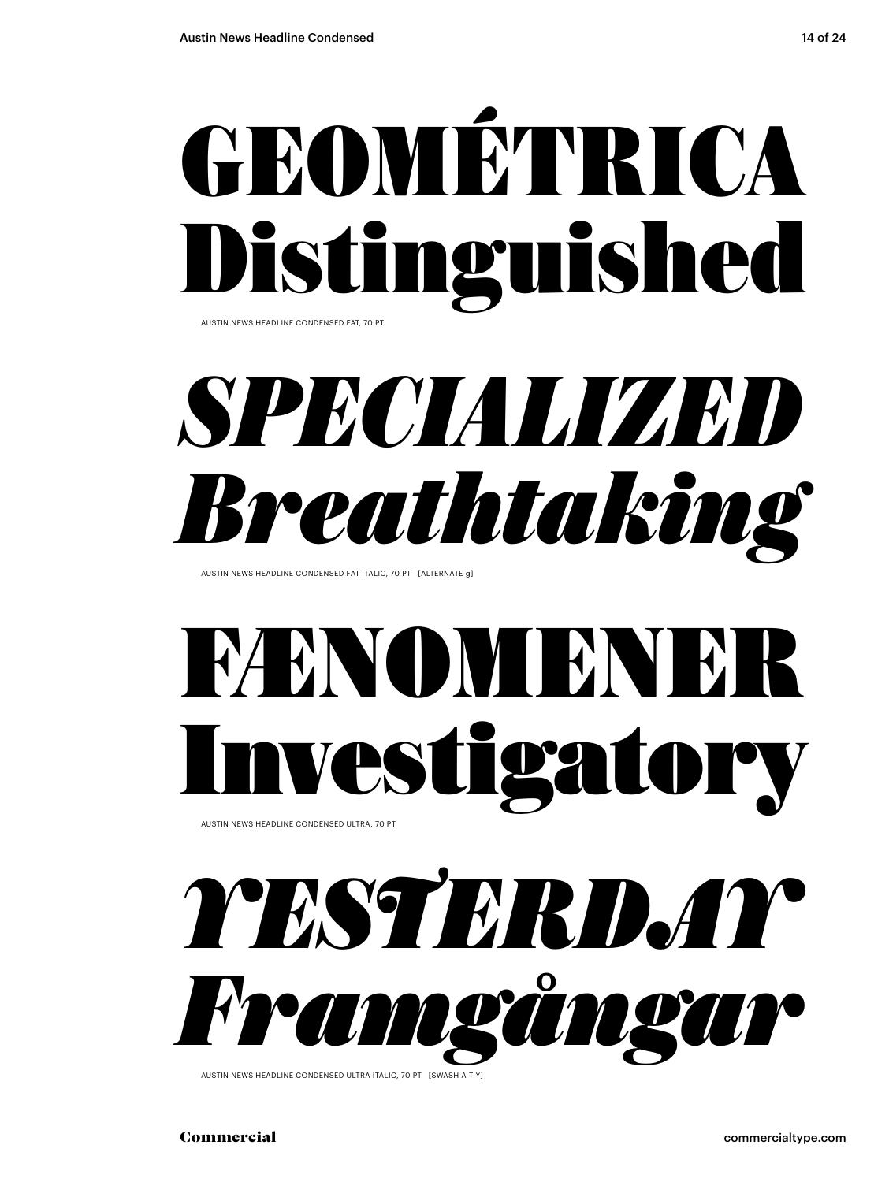

AUSTIN NEWS HEADLINE CONDENSED FAT, 70 PT



AUSTIN NEWS HEADLINE CONDENSED FAT ITALIC, 70 PT [ALTERNATE g]

## FÆNOMENE. Pstigato

AUSTIN NEWS HEADLINE CONDENSED ULTRA, 70 PT

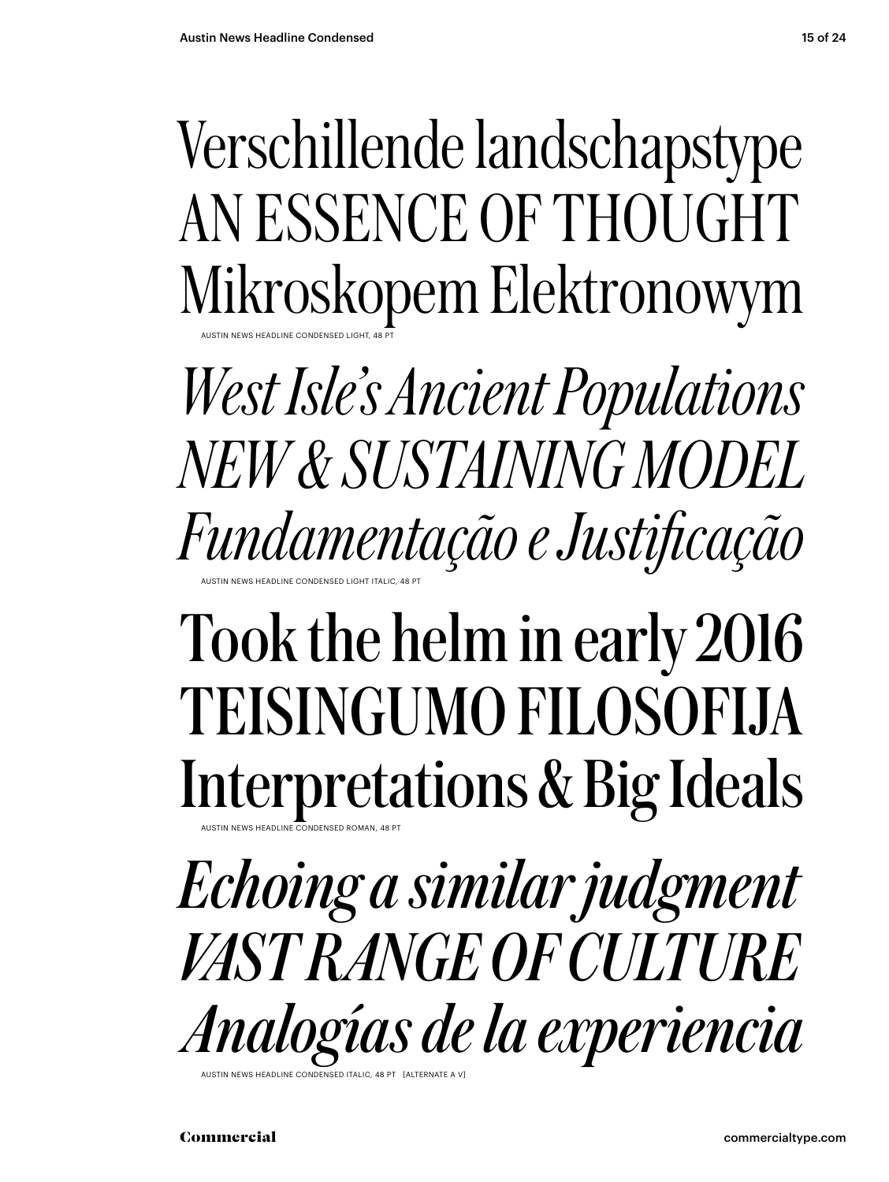Verschillende landschapstype AN ESSENCE OF THOUGHT Mikroskopem Elektronowym AUSTIN NEWS HEADLINE CONDENSED LIGHT, 48 PT

*West Isle's Ancient Populations NEW & SUSTAINING MODEL Fundamentação e Justificação* AUSTIN NEWS HEADLINE CONDENSED LIGHT ITALIC, 48 PT

### Took the helm in early 2016 TEISINGUMO FILOSOFIJA Interpretations & Big Ideals

*Echoing a similar judgment VAST RANGE OF CULTURE Analogías de la experiencia* AUSTIN NEWS HEADLINE CONDENSED ROMAN, 48 PT NEWS HEADLINE CONDENSED ITALIC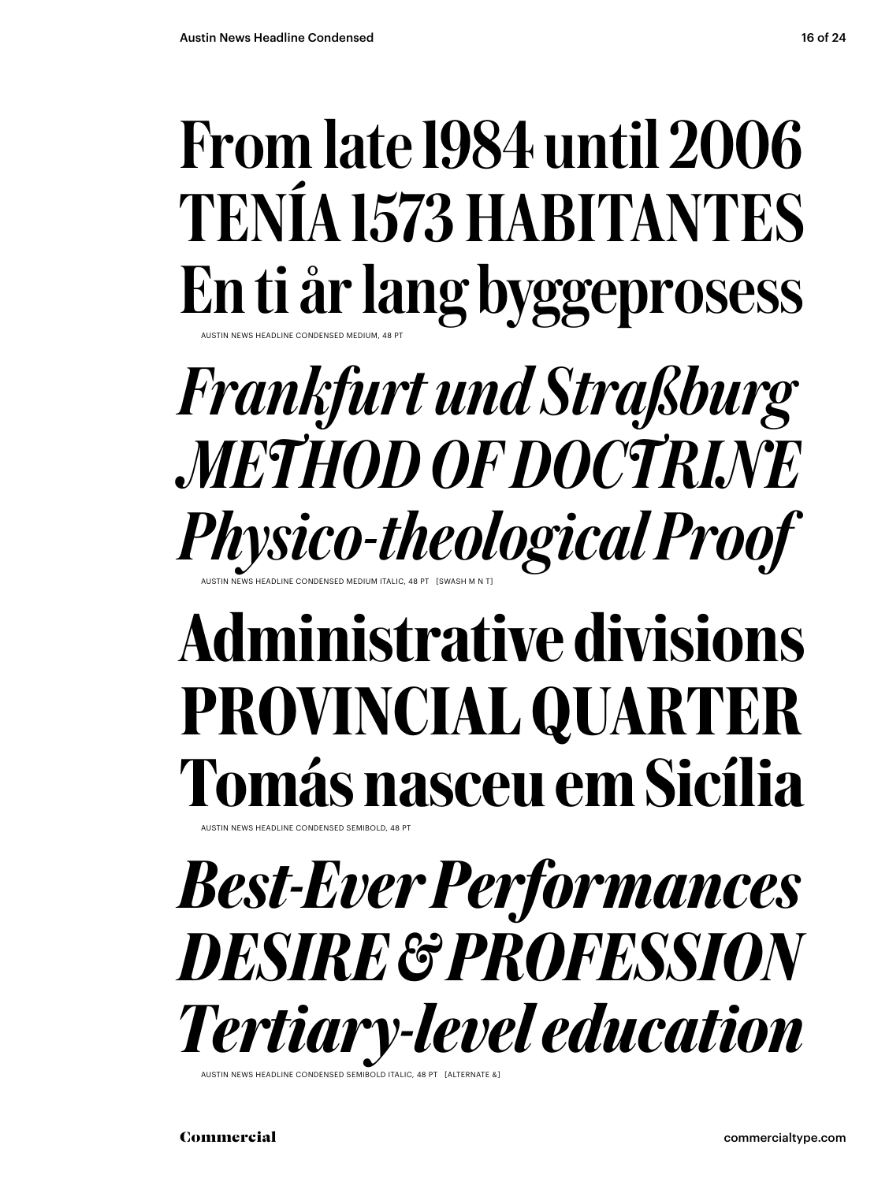#### From late 1984 until 2006 TENÍA 1573 HABITANTES En ti år lang byggeprosess AUSTIN NEWS HEADLINE CONDENSED MEDIUM, 48 PT

#### *Frankfurt und Straßburg METHOD OF DOCTRINE Physico-theological Proof* AUSTIN NEWS HEADLINE CONDENSED MEDIUM ITALIC, 48 PT [SWASH M N T]

### Administrative divisions PROVINCIAL QUARTER Tomás nasceu em Sicília

AUSTIN NEWS HEADLINE CONDENSED SEMIBOLD, 48 PT

*Best-Ever Performances DESIRE & PROFESSION Tertiary-level education*

AUSTIN NEWS HEADLINE CONDENSED SEMIBOLD ITALIC.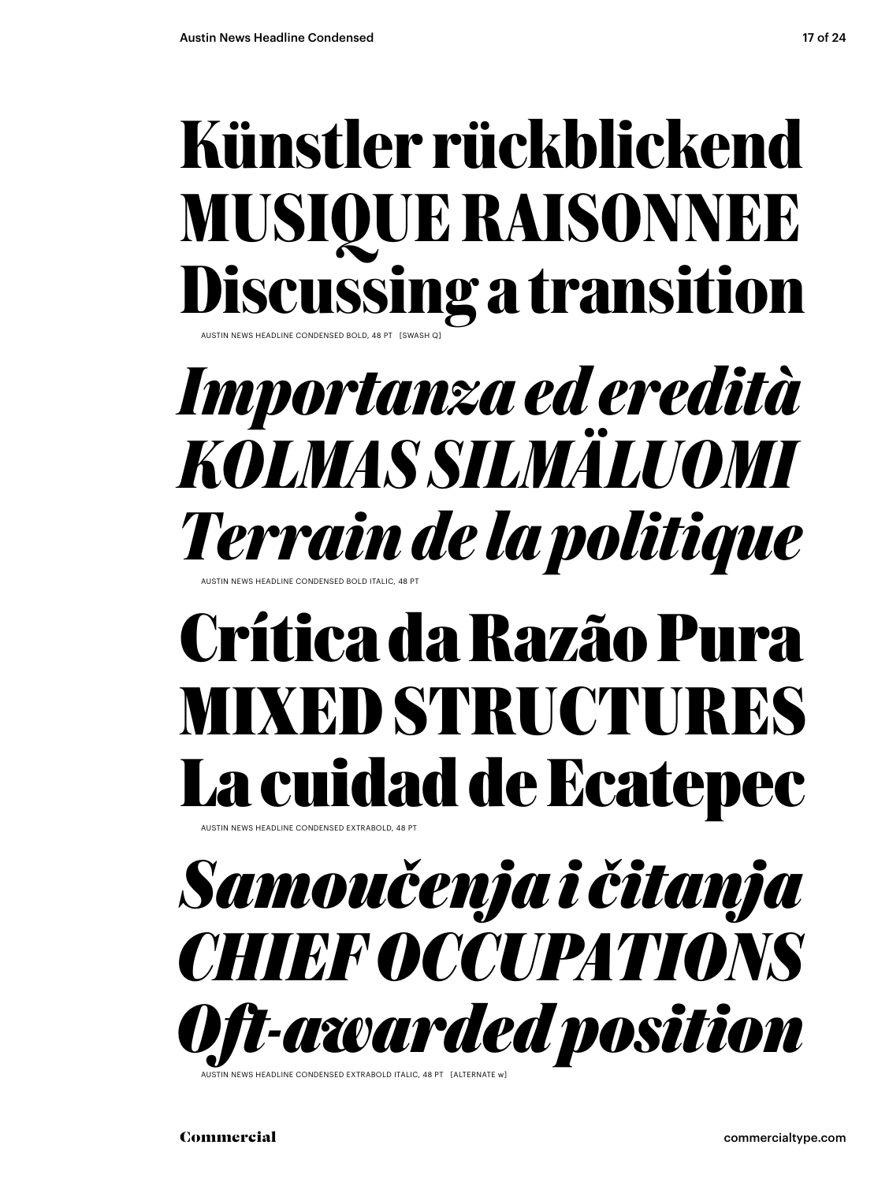#### **Künstler rückblickend MUSIQUE RAISONNEE Discussing a transition** AUSTIN NEWS HEADLINE CONDENSED BOLD, 48 PT [SWASH Q]

*Importanza ed eredità KOLMAS SILMÄLUOMI Terrain de la politique*

### **Crítica da Razão Pura MIXED STRUCTURES La cuidad de Ecatepec**

AUSTIN NEWS HEADLINE CONDENSED EXTRABOLD, 48 PT

AUSTIN NEWS HEADLINE CONDENSED BOLD ITALIC, 48 PT

*Samoučenja i čitanja CHIEF OCCUPATIONS Oft-awarded position*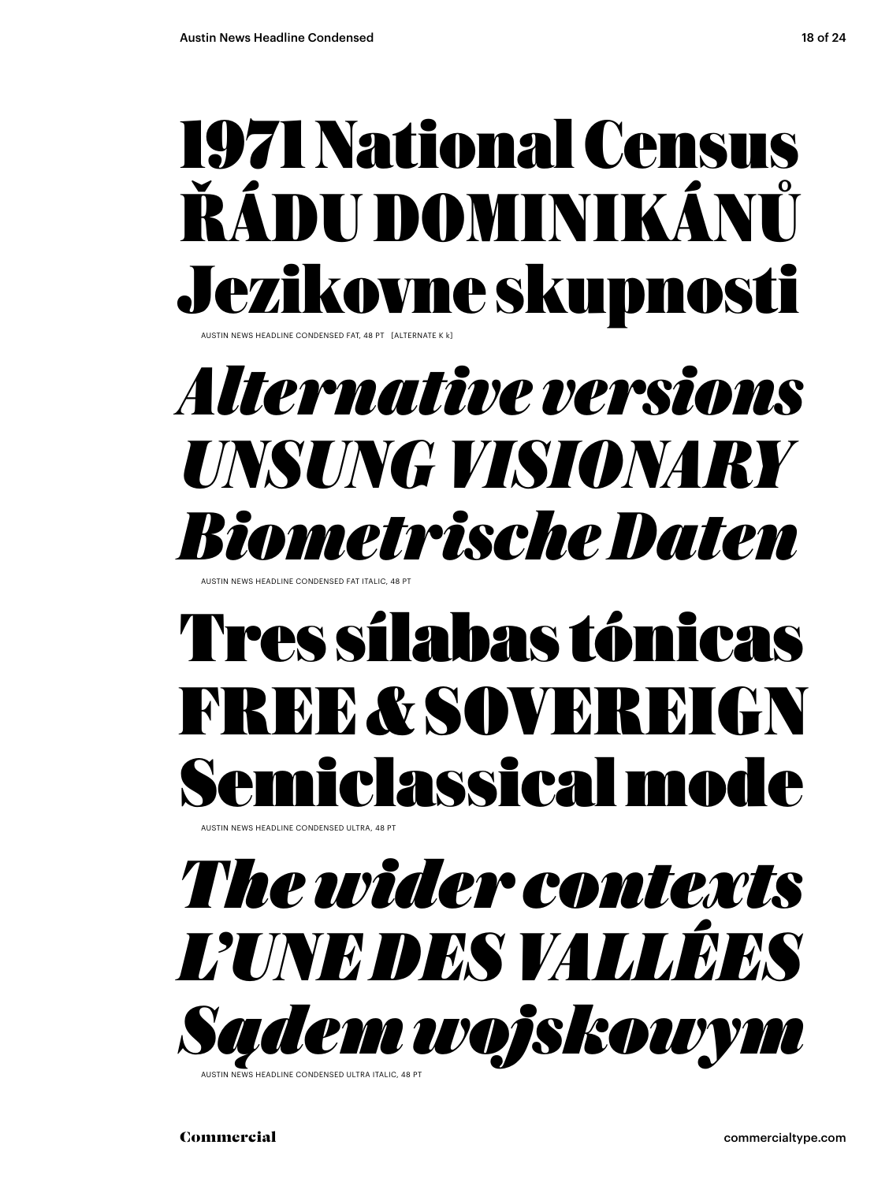### 1971 National Census ŘÁDU DOMINIKÁNŮ Jezikovne skupnosti

AUSTIN NEWS HEADLINE CONDENSED FAT, 48 PT [ALTERNATE K k]

#### *Alternative versions UNSUNG VISIONARY Biometrische Daten*

AUSTIN NEWS HEADLINE CONDENSED FAT ITALIC, 48 PT

### Tres sílabas tónicas FREE & SOVEREIGN Semiclassical mode

**AUSTIN NEWS HEADLINE CONDENSED ULTRA, 48 PT** 

#### *The wider contexts L'UNE DES VALLÉES Sądem wojskowym*

.<br>AS HEADLINE CONDENSED ULTRA ITALIC, 48 P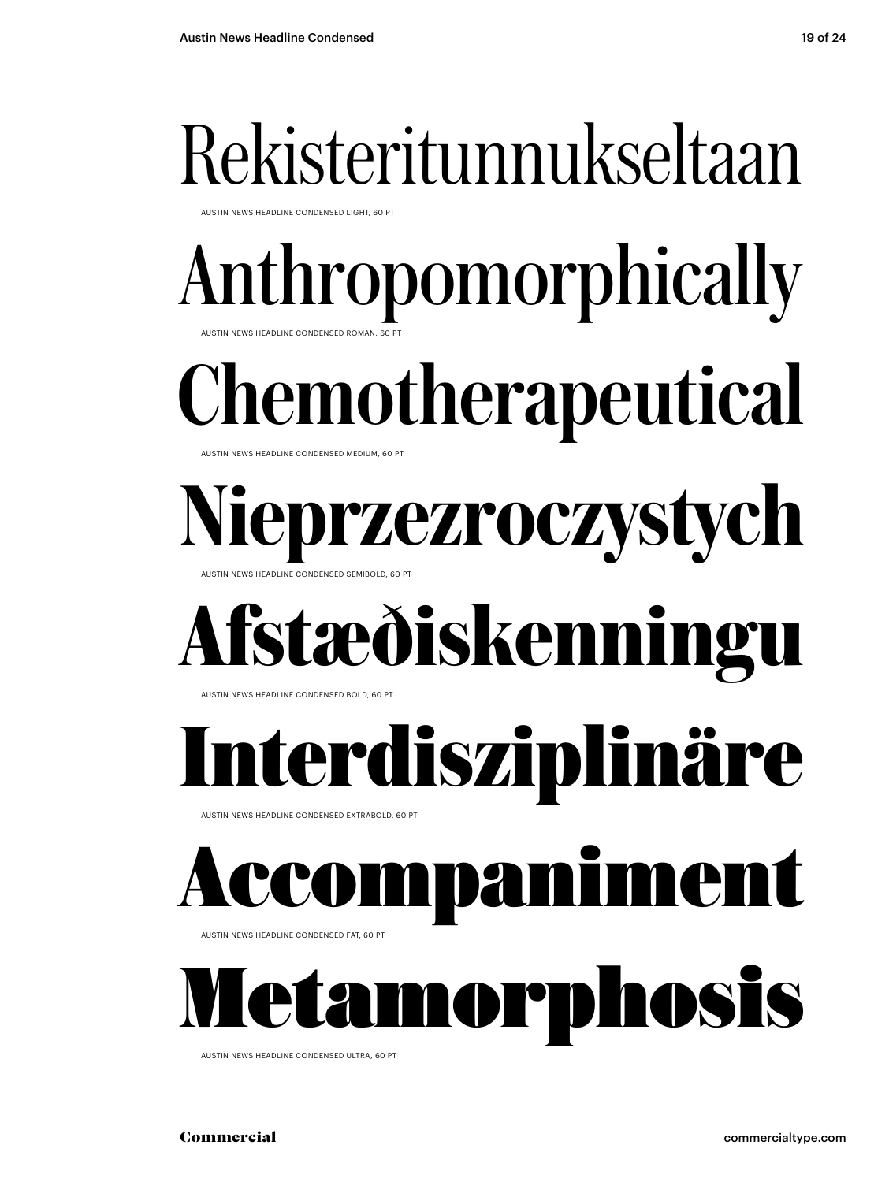### Rekisteritunnukseltaan

AUSTIN NEWS HEADLINE CONDENSED LIGHT, 60 PT

### Anthropomorphically

AUSTIN NEWS HEADLINE CONDENSED ROMAN, 60

AUSTIN NEWS HEADLINE CONDENSED MEDIUM, 60 PT Chemotherapeutical

AUSTIN NEWS HEADLINE CONDENSED SEMIBOLD, 60 PT rzezroczystych

### **Afstæðiskenningu**

AUSTIN NEWS HEADLINE CONDENSED BOLD, 60 PT

### **Interdisziplinäre**

AUSTIN NEWS HEADLINE CONDENSED EXTRABOLD, 60 PT

### anime

AUSTIN NEWS HEADLINE CONDENSED FAT, 60 PT

Metamorphosis

AUSTIN NEWS HEADLINE CONDENSED ULTRA, 60 PT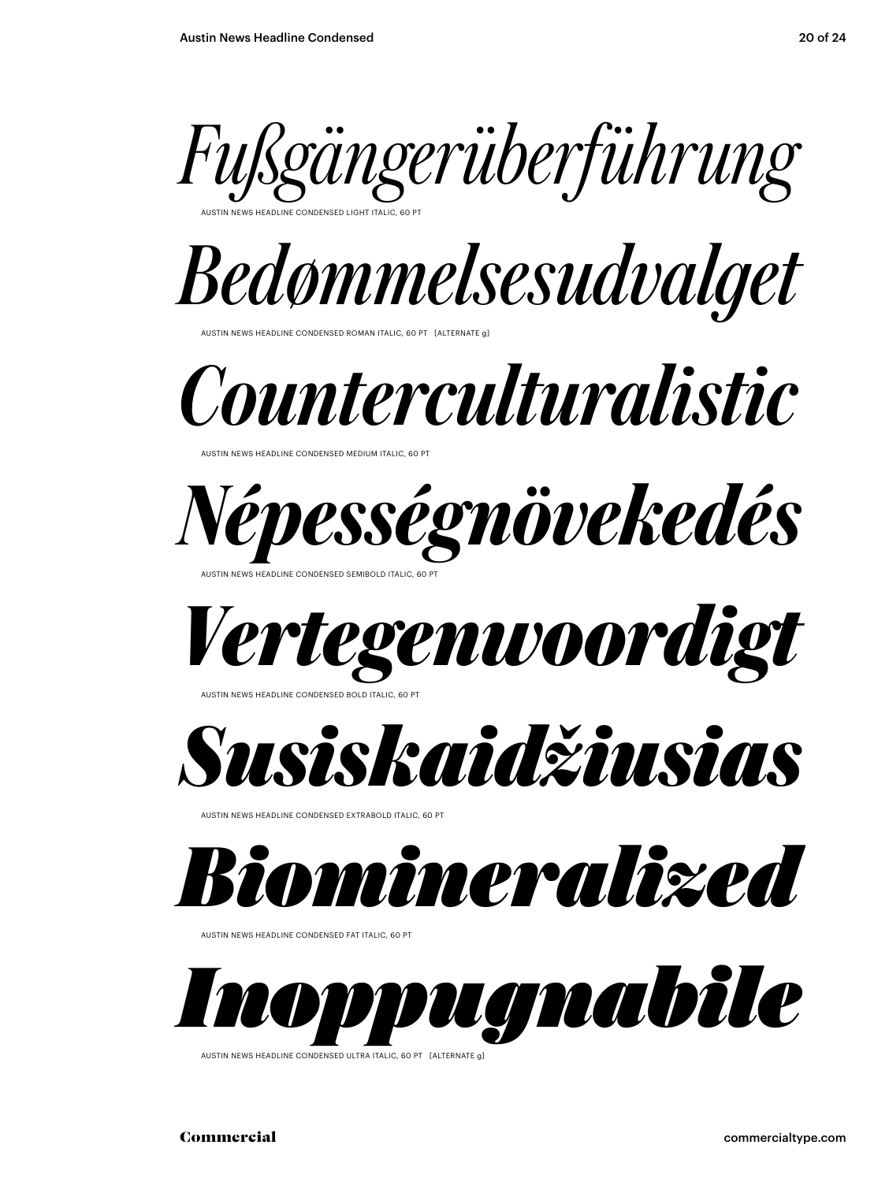

AUSTIN NEWS HEADLINE CONDENSED LIGHT ITALIC, 60 PT



AUSTIN NEWS HEADLINE CONDENSED ROMAN ITALIC, 60 PT [ALTERNATE g]

*Counterculturalistic*

AUSTIN NEWS HEADLINE CONDENSED MEDIUM ITALIC, 60 PT



AUSTIN NEWS HEADLINE CONDENSED SEMIBOLD ITALIC, 60 PT





AUSTIN NEWS HEADLINE CONDENSED EXTRABOLD ITALIC, 60



AUSTIN NEWS HEADLINE CONDENSED FAT ITALIC, 60 PT



AUSTIN NEWS HEADLINE CONDENSED ULTRA ITALIC, 60 PT [ALTERNATE g]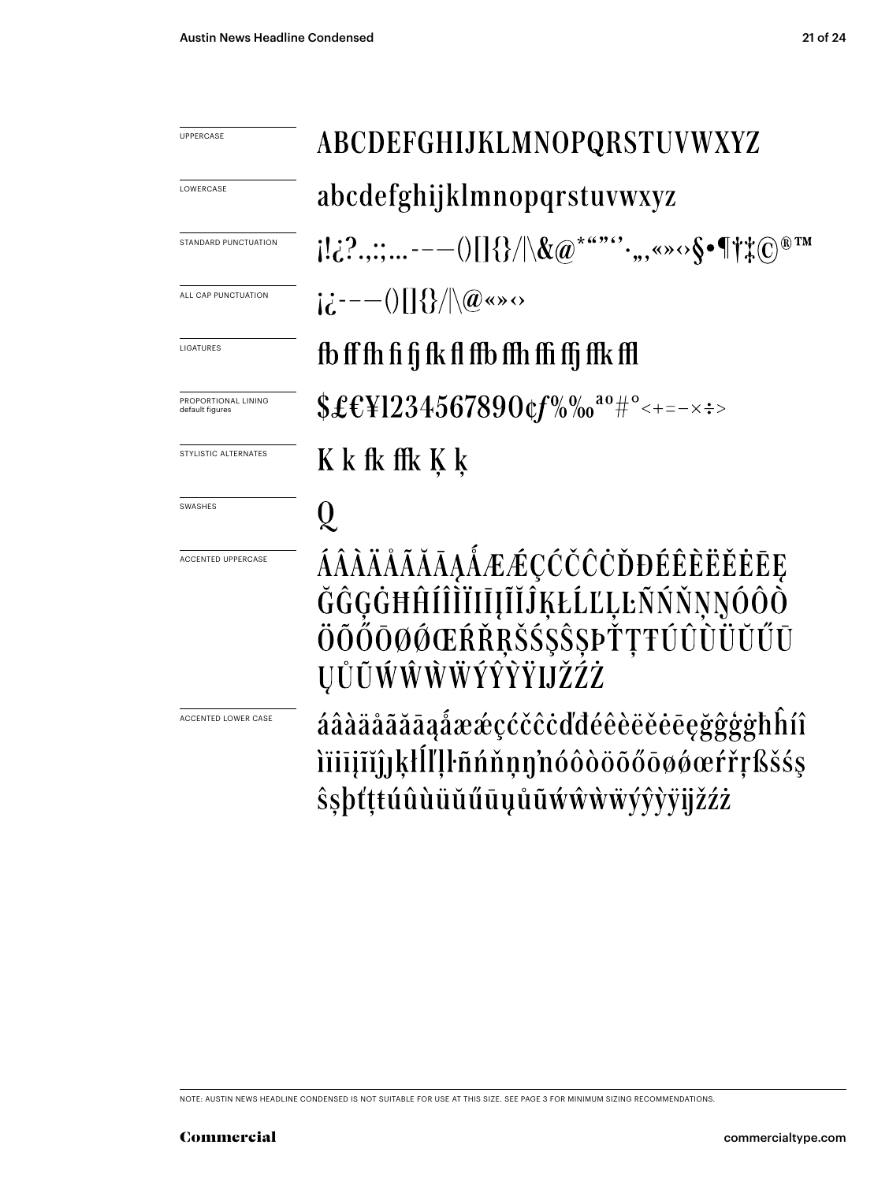ACCENTED LOWER CASE

| <b>UPPERCASE</b>                       | ABCDEFGHIJKLMNOPQRSTUVWXYZ                                                          |
|----------------------------------------|-------------------------------------------------------------------------------------|
| LOWERCASE                              | abcdefghijklmnopqrstuvwxyz                                                          |
| STANDARD PUNCTUATION                   | $[122;---018]/\&@^{***}{\cdots}, \sim \&\{\bullet \{\dagger\}. @^{\mathbb{R}^{TM}}$ |
| ALL CAP PUNCTUATION                    | $i \dot{c}$ ---()[]{}/ \@«»                                                         |
| LIGATURES                              | fb ff fh fi fi fk fl ffb ffh ffi ffj ffk ffl                                        |
| PROPORTIONAL LINING<br>default figures | $$£EY1234567890$ $$f\%$ % $0^{a0}$ #° < + = - x : >                                 |
| STYLISTIC ALTERNATES                   | K k fk ffk K k                                                                      |
| SWASHES                                | Ų                                                                                   |
| <b>ACCENTED UPPERCASE</b>              | ÁÂÀÄÅÃĂĀĄÁÆÆÇĆČČČĎĐÉÊÈĔĚĖĒĘ                                                         |

#### GGGGHHIIIIIIIIIJĶŁLĽĻĿNNNŅOOO ÖÕŐŌØŐŒŔŘŖŠŚ\$\$ŖPŤŢŦÚÛÙŬŬŰŪ ŲŮŨŴŴŴŴÝŶŶŸIJŽŹŻ

áâàäåãããąåææçćčĉċďdéêèëěēęğĝģġħĥíî iïiījĩĭĵjķŀĺľļŀñńňņŋ'nóôòöõőōøøœŕřŗßšśş *s*sbtttúûùüŭűūųůūwŵwwyyvyijžźż

NOTE: AUSTIN NEWS HEADLINE CONDENSED IS NOT SUITABLE FOR USE AT THIS SIZE. SEE PAGE 3 FOR MINIMUM SIZING RECOMMENDATIONS.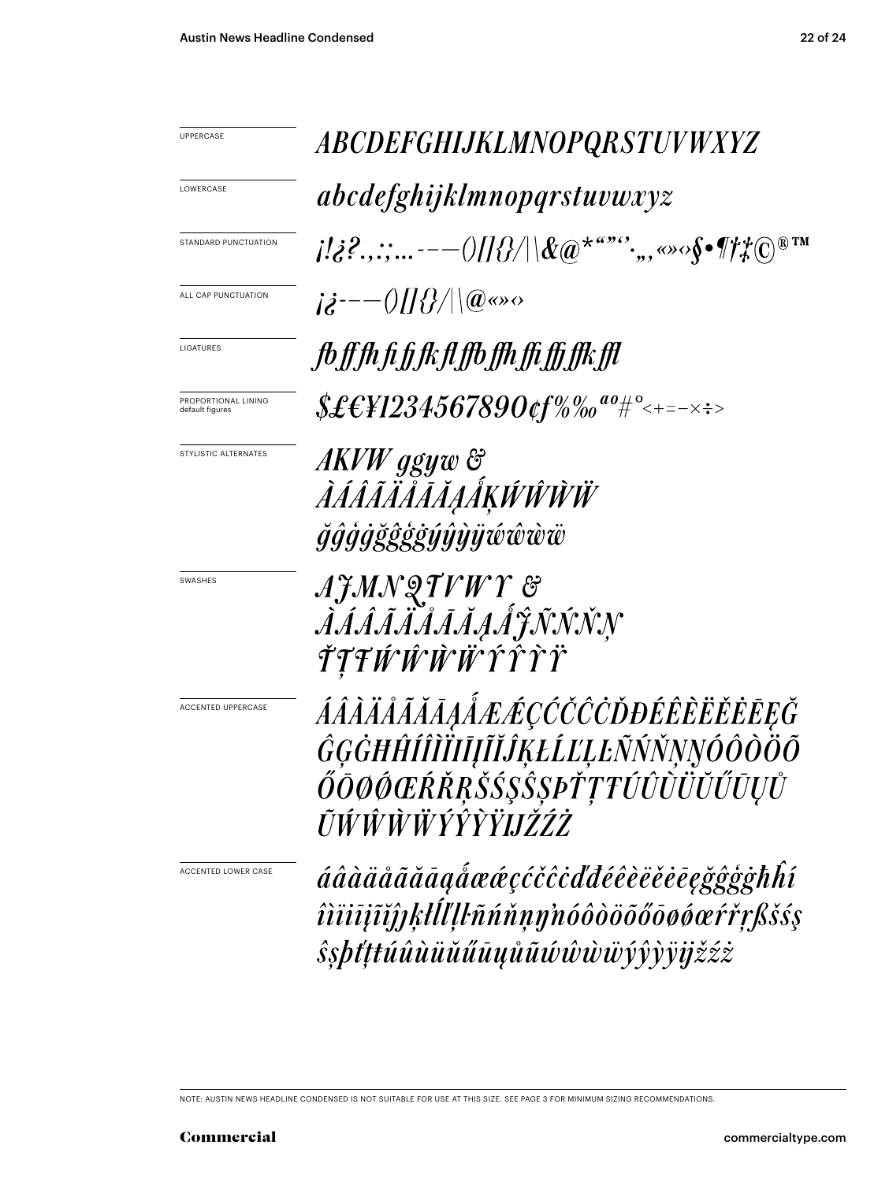| UPPERCASE                              | <b>ABCDEFGHIJKLMNOPQRSTUVWXYZ</b>                                                                                                                                                                                                                                                                                           |
|----------------------------------------|-----------------------------------------------------------------------------------------------------------------------------------------------------------------------------------------------------------------------------------------------------------------------------------------------------------------------------|
| LOWERCASE                              | <i>abcdefghijklmnopqrstuvwxyz</i>                                                                                                                                                                                                                                                                                           |
| STANDARD PUNCTUATION                   |                                                                                                                                                                                                                                                                                                                             |
| ALL CAP PUNCTUATION                    | $j\dot{z}^{---}\frac{1}{2}$ $\frac{1}{2}$ $\frac{1}{2}$ $\frac{1}{2}$ $\frac{1}{2}$ $\frac{1}{2}$ $\frac{1}{2}$ $\frac{1}{2}$ $\frac{1}{2}$ $\frac{1}{2}$ $\frac{1}{2}$ $\frac{1}{2}$ $\frac{1}{2}$ $\frac{1}{2}$ $\frac{1}{2}$ $\frac{1}{2}$ $\frac{1}{2}$ $\frac{1}{2}$ $\frac{1}{2}$ $\frac{1}{2}$ $\frac{1}{2}$ $\frac$ |
| LIGATURES                              | fb ff fh fi fj fk fl ffb ffh ffi ffj ffk ffl                                                                                                                                                                                                                                                                                |
| PROPORTIONAL LINING<br>default figures | $$£EY1234567890$ cf%‰ <sup>ao</sup> #°<+=-×÷>                                                                                                                                                                                                                                                                               |
| STYLISTIC ALTERNATES                   | AKVW ggyw &<br>ÀÁÂÃÄÅĀĂĀAÅĶŴŴŴ<br><i>ğĝġġğĝġġýŷỳÿŵŵw</i>                                                                                                                                                                                                                                                                    |
| SWASHES                                | AJMNQTVWY &<br>ÀÁÁÃÄÄÄĀĀĄÁĴÑŃŇŅ<br>ŤŦŦŴŴŴŴŶŶŶŸ                                                                                                                                                                                                                                                                              |
| <b>ACCENTED UPPERCASE</b>              | ÁÂÀÄÅĂĂĂĀĄÅÆÆÇĆČČŎĐÉÊÈËĔĔĒĘĞ<br>ĜĢĠĦĤÍÎĨĬĪĪĮĨĬĴĶŁĹĽĻĿÑŃŇŅŅÓÔÒÖÕ<br>ŐŌØŐŒŔŘŖŠŚŞŜŞÞŤŢŦŰÛŨŬŬŰŪŲŮ<br>ŨŴŴŴŴŶŶŶŸIJŽŹŻ                                                                                                                                                                                                             |
| ACCENTED LOWER CASE                    | áâàäåãããagắææçćčĉċďđéêèëĕēegğĝģġħĥí<br>îìïiījĩĭĵĵķŀĺľļŀñńňņŋ'nóôòöõőōøøœŕřŗßšśş<br><i>śsbťttúûùüŭűūųůũúŵŵŵÿŷŷÿijžźż</i>                                                                                                                                                                                                     |

NOTE: AUSTIN NEWS HEADLINE CONDENSED IS NOT SUITABLE FOR USE AT THIS SIZE. SEE PAGE 3 FOR MINIMUM SIZING RECOMMENDATIONS.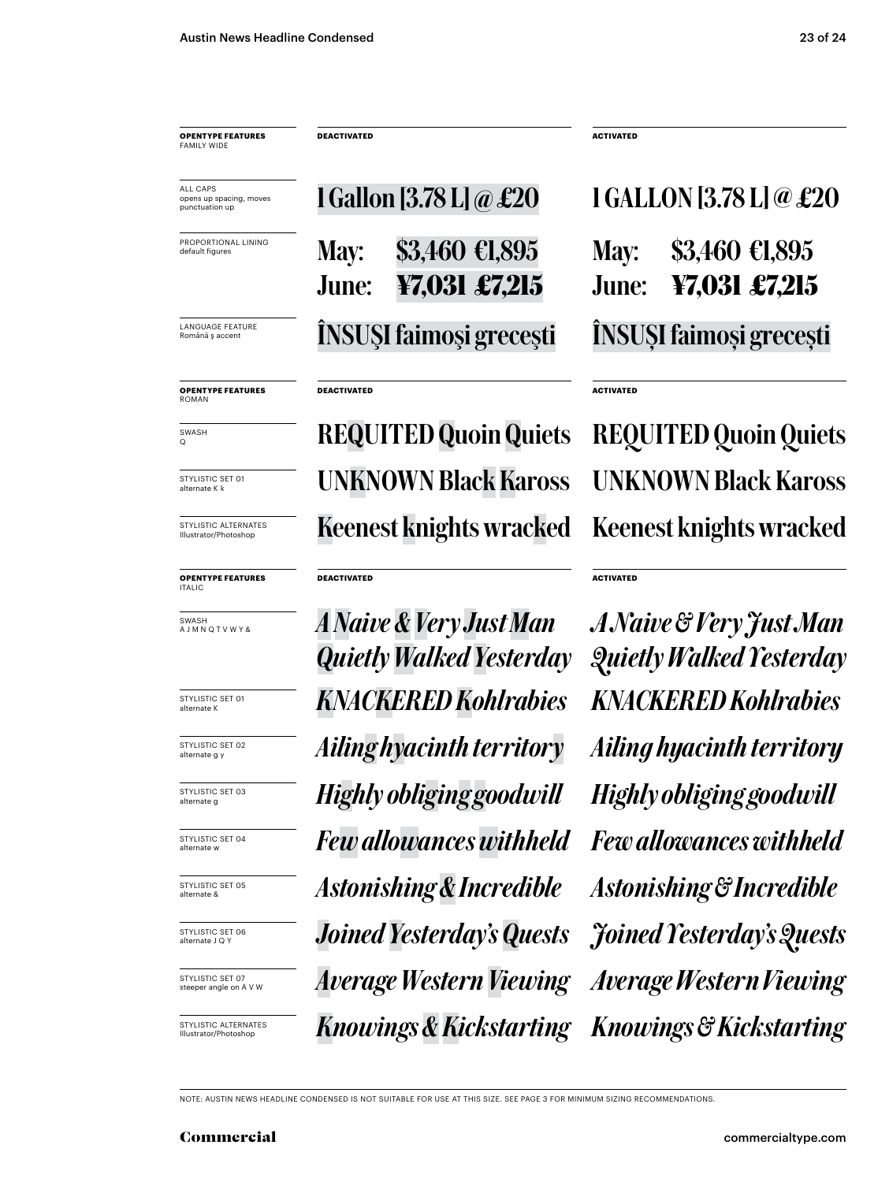**OPENTYPE FEATURES** FAMILY WIDE

ALL CAPS opens up spacing, moves punctuation up

PROPORTIONAL LINING default figure

LANGUAGE FEATURE Română ş accent

**OPENTYPE FEATURES** ROMAN

SWASH Q

STYLISTIC SET 01 alternate K k

STYLISTIC ALTERNATES Illustrator/Photoshop

**OPENTYPE FEATURES** ITALIC

SWASH A J M N Q T V W Y &

STYLISTIC SET 01 alternate K

STYLISTIC SET 02 alternate g y

STYLISTIC SET 03 alternate g

STYLISTIC SET 04 alternate w

STYLISTIC SET 05 alternate &

STYLISTIC SET 06 alternate J Q Y

STYLISTIC SET 07 steeper angle on A V W

STYLISTIC ALTERNATES Illustrator/Photoshop

May: \$3,460 €1,895 June: **¥7,031 £7,215**

1 Gallon [3.78 L] @ £20

**DEACTIVATED ACTIVATED**

#### **DEACTIVATED**

UNKNOWN Black Kaross UNKNOWN Black Kaross Keenest knights wracked Keenest knights wracked REQUITED Quoin Quiets REQUITED Quoin Quiets

#### **DEACTIVATED**

*KNACKERED Kohlrabies KNACKERED Kohlrabies Joined Yesterday's Quests Joined Yesterday's Quests Average Western Viewing Average Western Viewing Knowings & Kickstarting Knowings & Kickstarting Highly obliginggoodwill Highly obliging goodwill Ailing hyacinth territory Ailing hyacinth territory A Naive & Very Just Man Quietly Walked Yesterday Few allowances withheld Astonishing & Incredible*

ÎNSUŞI faimoşi greceşti ÎNSUŞI faimoşi greceşti May: \$3,460 €1,895 June: **¥7,031 £7,215** 1 GALLON [3.78 L] @ £20

**ACTIVATED**

**ACTIVATED**

*Few allowances withheld Astonishing & Incredible A Naive & Very Just Man Quietly Walked Yesterday*

NOTE: AUSTIN NEWS HEADLINE CONDENSED IS NOT SUITABLE FOR USE AT THIS SIZE. SEE PAGE 3 FOR MINIMUM SIZING RECOMMENDATIONS.